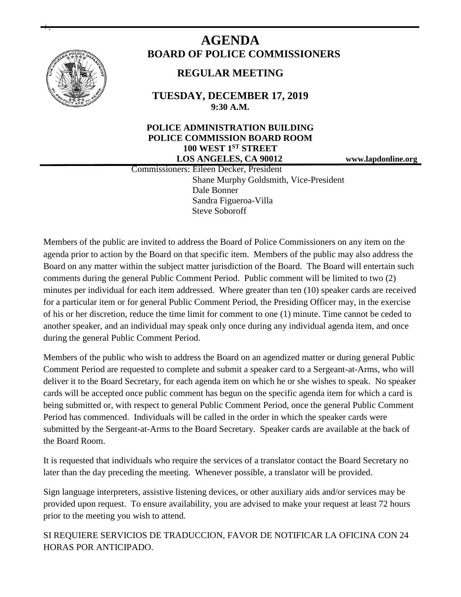

+.

# **AGENDA BOARD OF POLICE COMMISSIONERS**

# **REGULAR MEETING**

**TUESDAY, DECEMBER 17, 2019 9:30 A.M.**

# **POLICE ADMINISTRATION BUILDING POLICE COMMISSION BOARD ROOM 100 WEST 1ST STREET LOS ANGELES, CA 90012 www.lapdonline.org**

 Commissioners: Eileen Decker, President Shane Murphy Goldsmith, Vice-President Dale Bonner Sandra Figueroa-Villa Steve Soboroff

Members of the public are invited to address the Board of Police Commissioners on any item on the agenda prior to action by the Board on that specific item. Members of the public may also address the Board on any matter within the subject matter jurisdiction of the Board. The Board will entertain such comments during the general Public Comment Period. Public comment will be limited to two (2) minutes per individual for each item addressed. Where greater than ten (10) speaker cards are received for a particular item or for general Public Comment Period, the Presiding Officer may, in the exercise of his or her discretion, reduce the time limit for comment to one (1) minute. Time cannot be ceded to another speaker, and an individual may speak only once during any individual agenda item, and once during the general Public Comment Period.

Members of the public who wish to address the Board on an agendized matter or during general Public Comment Period are requested to complete and submit a speaker card to a Sergeant-at-Arms, who will deliver it to the Board Secretary, for each agenda item on which he or she wishes to speak. No speaker cards will be accepted once public comment has begun on the specific agenda item for which a card is being submitted or, with respect to general Public Comment Period, once the general Public Comment Period has commenced. Individuals will be called in the order in which the speaker cards were submitted by the Sergeant-at-Arms to the Board Secretary. Speaker cards are available at the back of the Board Room.

It is requested that individuals who require the services of a translator contact the Board Secretary no later than the day preceding the meeting. Whenever possible, a translator will be provided.

Sign language interpreters, assistive listening devices, or other auxiliary aids and/or services may be provided upon request. To ensure availability, you are advised to make your request at least 72 hours prior to the meeting you wish to attend.

SI REQUIERE SERVICIOS DE TRADUCCION, FAVOR DE NOTIFICAR LA OFICINA CON 24 HORAS POR ANTICIPADO.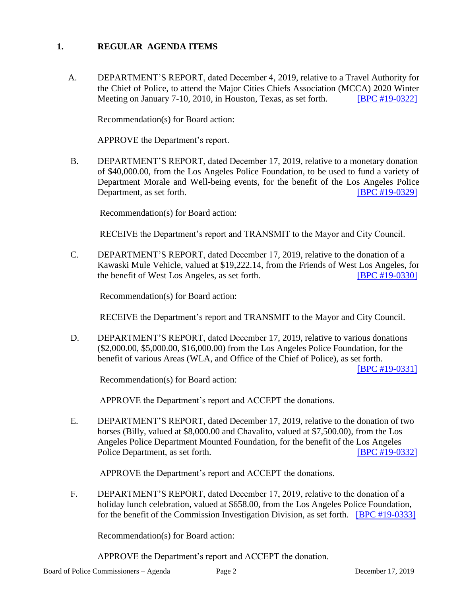# **1. REGULAR AGENDA ITEMS**

A. DEPARTMENT'S REPORT, dated December 4, 2019, relative to a Travel Authority for the Chief of Police, to attend the Major Cities Chiefs Association (MCCA) 2020 Winter Meeting on January 7-10, 2010, in Houston, Texas, as set forth. [\[BPC #19-0322\]](http://www.lapdpolicecom.lacity.org/121719/BPC_19-0322.pdf)

Recommendation(s) for Board action:

APPROVE the Department's report.

B. DEPARTMENT'S REPORT, dated December 17, 2019, relative to a monetary donation of \$40,000.00, from the Los Angeles Police Foundation, to be used to fund a variety of Department Morale and Well-being events, for the benefit of the Los Angeles Police Department, as set forth. **IDED EXECUTE:** [\[BPC #19-0329\]](http://www.lapdpolicecom.lacity.org/121719/BPC_19-0329.pdf)

Recommendation(s) for Board action:

RECEIVE the Department's report and TRANSMIT to the Mayor and City Council.

C. DEPARTMENT'S REPORT, dated December 17, 2019, relative to the donation of a Kawaski Mule Vehicle, valued at \$19,222.14, from the Friends of West Los Angeles, for the benefit of West Los Angeles, as set forth. [\[BPC #19-0330\]](http://www.lapdpolicecom.lacity.org/121719/BPC_19-0330.pdf)

Recommendation(s) for Board action:

RECEIVE the Department's report and TRANSMIT to the Mayor and City Council.

D. DEPARTMENT'S REPORT, dated December 17, 2019, relative to various donations (\$2,000.00, \$5,000.00, \$16,000.00) from the Los Angeles Police Foundation, for the benefit of various Areas (WLA, and Office of the Chief of Police), as set forth.

[\[BPC #19-0331\]](http://www.lapdpolicecom.lacity.org/121719/BPC_19-0331.pdf)

Recommendation(s) for Board action:

APPROVE the Department's report and ACCEPT the donations.

E. DEPARTMENT'S REPORT, dated December 17, 2019, relative to the donation of two horses (Billy, valued at \$8,000.00 and Chavalito, valued at \$7,500.00), from the Los Angeles Police Department Mounted Foundation, for the benefit of the Los Angeles Police Department, as set forth. **IDPC #19-0332** 

APPROVE the Department's report and ACCEPT the donations.

F. DEPARTMENT'S REPORT, dated December 17, 2019, relative to the donation of a holiday lunch celebration, valued at \$658.00, from the Los Angeles Police Foundation, for the benefit of the Commission Investigation Division, as set forth. [\[BPC #19-0333\]](http://www.lapdpolicecom.lacity.org/121719/BPC_19-0333.pdf)

Recommendation(s) for Board action:

APPROVE the Department's report and ACCEPT the donation.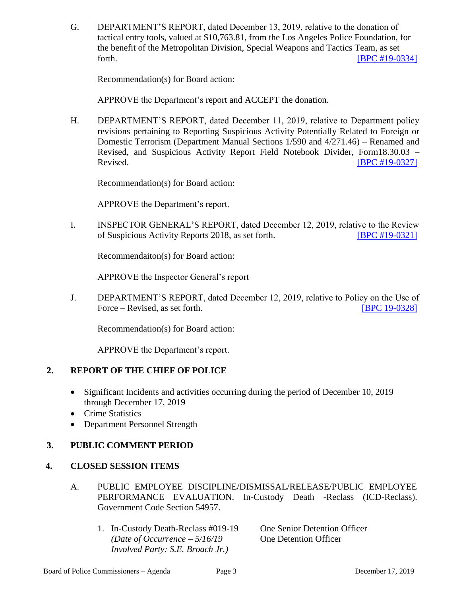G. DEPARTMENT'S REPORT, dated December 13, 2019, relative to the donation of tactical entry tools, valued at \$10,763.81, from the Los Angeles Police Foundation, for the benefit of the Metropolitan Division, Special Weapons and Tactics Team, as set forth. **EXECUTE: EXECUTE: EXECUTE: EXECUTE: EXECUTE: EXECUTE: EXECUTE: EXECUTE: EXECUTE: EXECUTE: EXECUTE: EXECUTE: EXECUTE: EXECUTE: EXECUTE: EXECUTE: EXECUTE: EXECUTE: EXECUTE: EXECU** 

Recommendation(s) for Board action:

APPROVE the Department's report and ACCEPT the donation.

H. DEPARTMENT'S REPORT, dated December 11, 2019, relative to Department policy revisions pertaining to Reporting Suspicious Activity Potentially Related to Foreign or Domestic Terrorism (Department Manual Sections 1/590 and 4/271.46) – Renamed and Revised, and Suspicious Activity Report Field Notebook Divider, Form18.30.03 – Revised. [\[BPC #19-0327\]](http://www.lapdpolicecom.lacity.org/121719/BPC_19-0327.pdf)

Recommendation(s) for Board action:

APPROVE the Department's report.

I. INSPECTOR GENERAL'S REPORT, dated December 12, 2019, relative to the Review of Suspicious Activity Reports 2018, as set forth. [\[BPC #19-0321\]](http://www.lapdpolicecom.lacity.org/121719/BPC_19-0321.pdf)

Recommendaiton(s) for Board action:

APPROVE the Inspector General's report

J. DEPARTMENT'S REPORT, dated December 12, 2019, relative to Policy on the Use of Force – Revised, as set forth. [\[BPC 19-0328\]](http://www.lapdpolicecom.lacity.org/121719/BPC_19-0328.pdf)

Recommendation(s) for Board action:

APPROVE the Department's report.

#### **2. REPORT OF THE CHIEF OF POLICE**

- Significant Incidents and activities occurring during the period of December 10, 2019 through December 17, 2019
- Crime Statistics
- Department Personnel Strength

### **3. PUBLIC COMMENT PERIOD**

#### **4. CLOSED SESSION ITEMS**

- A. PUBLIC EMPLOYEE DISCIPLINE/DISMISSAL/RELEASE/PUBLIC EMPLOYEE PERFORMANCE EVALUATION. In-Custody Death -Reclass (ICD-Reclass). Government Code Section 54957.
	- 1. In-Custody Death-Reclass #019-19 One Senior Detention Officer  *(Date of Occurrence – 5/16/19* One Detention Officer  *Involved Party: S.E. Broach Jr.)*